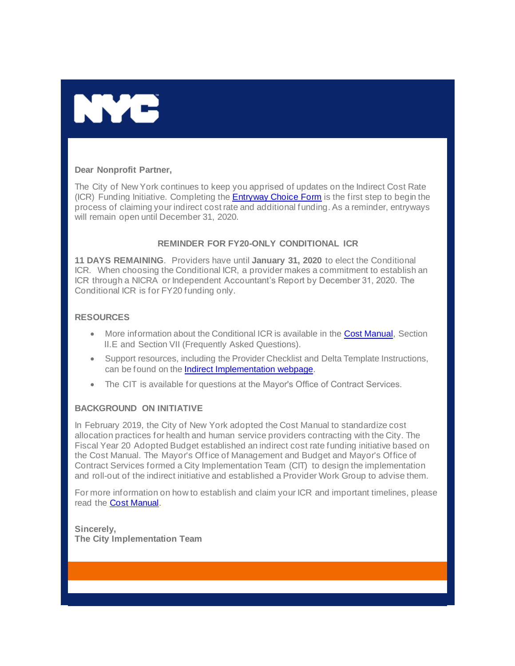

## **Dear Nonprofit Partner,**

The City of New York continues to keep you apprised of updates on the Indirect Cost Rate (ICR) Funding Initiative. Completing the **[Entryway Choice Form](https://gcc01.safelinks.protection.outlook.com/?url=https%3A%2F%2Fwww1.nyc.gov%2Fsite%2Fnonprofits%2Ffunded-providers%2Findirect-entryway-choice-form.page%3Futm_medium%3Demail%26utm_source%3Dgovdelivery&data=02%7C01%7Coluwa.small%40mocs.nyc.gov%7C7f149cded147413a5e1a08d79ea87038%7C32f56fc75f814e22a95b15da66513bef%7C0%7C0%7C637152319645355643&sdata=0kwKOcVotvnbeSc2WO%2Fxd0HV3F55DIX4Vktk66JkW8A%3D&reserved=0)** is the first step to begin the process of claiming your indirect cost rate and additional funding. As a reminder, entryways will remain open until December 31, 2020.

## **REMINDER FOR FY20-ONLY CONDITIONAL ICR**

**11 DAYS REMAINING**. Providers have until **January 31, 2020** to elect the Conditional ICR. When choosing the Conditional ICR, a provider makes a commitment to establish an ICR through a NICRA or Independent Accountant's Report by December 31, 2020. The Conditional ICR is for FY20 funding only.

## **RESOURCES**

- More information about the Conditional ICR is available in the **Cost Manual**, Section II.E and Section VII (Frequently Asked Questions).
- Support resources, including the Provider Checklist and Delta Template Instructions, can be found on t[he Indirect Implementation webpage.](https://gcc01.safelinks.protection.outlook.com/?url=https%3A%2F%2Fwww1.nyc.gov%2Fsite%2Fnonprofits%2Ffunded-providers%2Findirect-implementation.page%3Futm_medium%3Demail%26utm_source%3Dgovdelivery&data=02%7C01%7Coluwa.small%40mocs.nyc.gov%7C7f149cded147413a5e1a08d79ea87038%7C32f56fc75f814e22a95b15da66513bef%7C0%7C0%7C637152319645365639&sdata=0BaOkdgWK4NqfrzbDy%2BJaVAz%2F%2F65B28JGIvJf3qp3D0%3D&reserved=0)
- The CIT is available for questions at [the Mayor's Office of](mailto:help@mocs.nyc.gov) Contract Services.

## **BACKGROUND ON INITIATIVE**

In February 2019, the City of New York adopted the Cost Manual to standardize cost allocation practices for health and human service providers contracting with the City. The Fiscal Year 20 Adopted Budget established an indirect cost rate funding initiative based on the Cost Manual. The Mayor's Office of Management and Budget and Mayor's Office of Contract Services formed a City Implementation Team (CIT) to design the implementation and roll-out of the indirect initiative and established a Provider Work Group to advise them.

For more information on how to establish and claim your ICR and important timelines, please read the **Cost Manual**.

**Sincerely, The City Implementation Team**